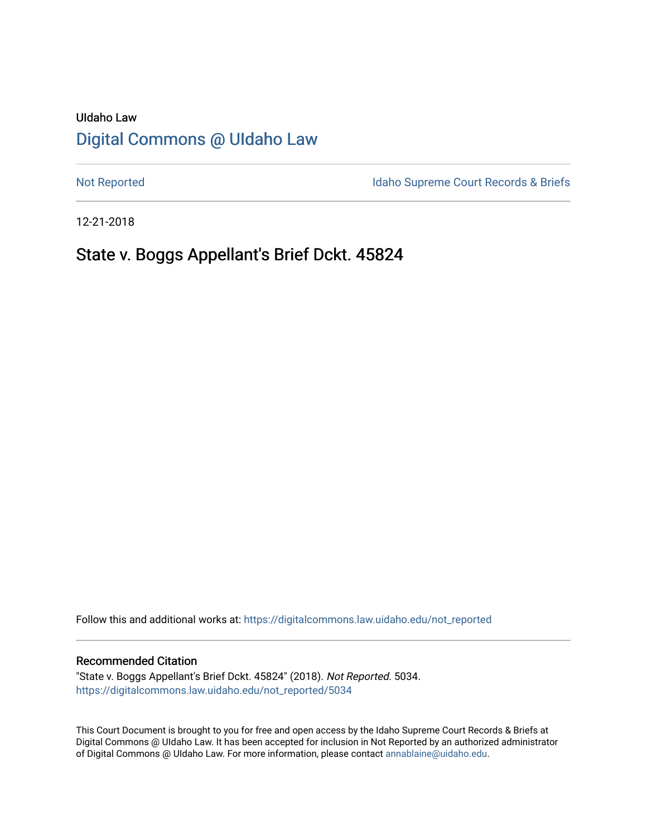# UIdaho Law [Digital Commons @ UIdaho Law](https://digitalcommons.law.uidaho.edu/)

[Not Reported](https://digitalcommons.law.uidaho.edu/not_reported) **Idaho Supreme Court Records & Briefs** 

12-21-2018

# State v. Boggs Appellant's Brief Dckt. 45824

Follow this and additional works at: [https://digitalcommons.law.uidaho.edu/not\\_reported](https://digitalcommons.law.uidaho.edu/not_reported?utm_source=digitalcommons.law.uidaho.edu%2Fnot_reported%2F5034&utm_medium=PDF&utm_campaign=PDFCoverPages) 

#### Recommended Citation

"State v. Boggs Appellant's Brief Dckt. 45824" (2018). Not Reported. 5034. [https://digitalcommons.law.uidaho.edu/not\\_reported/5034](https://digitalcommons.law.uidaho.edu/not_reported/5034?utm_source=digitalcommons.law.uidaho.edu%2Fnot_reported%2F5034&utm_medium=PDF&utm_campaign=PDFCoverPages)

This Court Document is brought to you for free and open access by the Idaho Supreme Court Records & Briefs at Digital Commons @ UIdaho Law. It has been accepted for inclusion in Not Reported by an authorized administrator of Digital Commons @ UIdaho Law. For more information, please contact [annablaine@uidaho.edu](mailto:annablaine@uidaho.edu).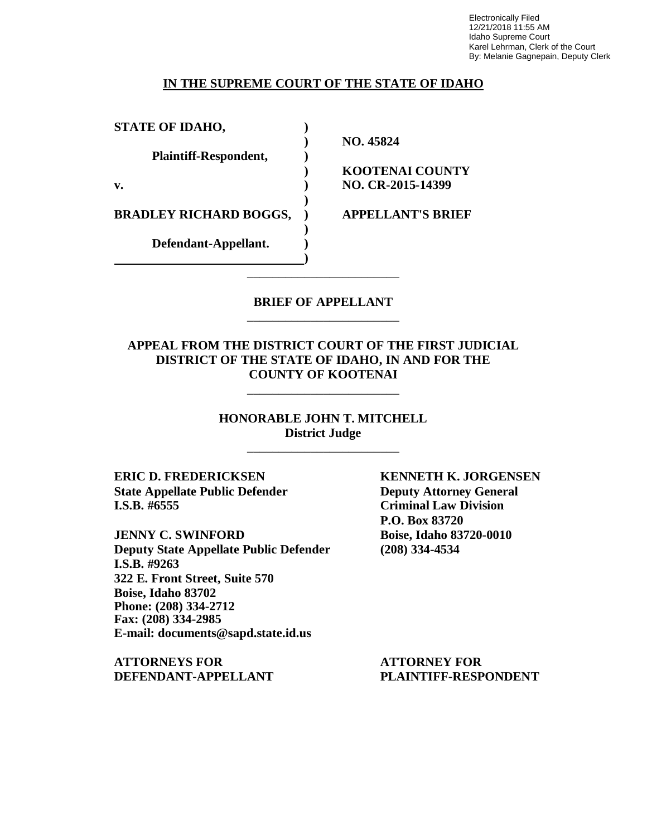Electronically Filed 12/21/2018 11:55 AM Idaho Supreme Court Karel Lehrman, Clerk of the Court By: Melanie Gagnepain, Deputy Clerk

### **IN THE SUPREME COURT OF THE STATE OF IDAHO**

| <b>STATE OF IDAHO,</b>        |                          |
|-------------------------------|--------------------------|
|                               | NO. 45824                |
| Plaintiff-Respondent,         |                          |
|                               | <b>KOOTENAI COUNTY</b>   |
| v.                            | NO. CR-2015-14399        |
| <b>BRADLEY RICHARD BOGGS,</b> | <b>APPELLANT'S BRIEF</b> |
| Defendant-Appellant.          |                          |
|                               |                          |

### **BRIEF OF APPELLANT** \_\_\_\_\_\_\_\_\_\_\_\_\_\_\_\_\_\_\_\_\_\_\_\_

\_\_\_\_\_\_\_\_\_\_\_\_\_\_\_\_\_\_\_\_\_\_\_\_

## **APPEAL FROM THE DISTRICT COURT OF THE FIRST JUDICIAL DISTRICT OF THE STATE OF IDAHO, IN AND FOR THE COUNTY OF KOOTENAI**

\_\_\_\_\_\_\_\_\_\_\_\_\_\_\_\_\_\_\_\_\_\_\_\_

**HONORABLE JOHN T. MITCHELL District Judge** \_\_\_\_\_\_\_\_\_\_\_\_\_\_\_\_\_\_\_\_\_\_\_\_

**State Appellate Public Defender Deputy Attorney General I.S.B. #6555 Criminal Law Division**

**JENNY C. SWINFORD Boise, Idaho 83720-0010 Deputy State Appellate Public Defender (208) 334-4534 I.S.B. #9263 322 E. Front Street, Suite 570 Boise, Idaho 83702 Phone: (208) 334-2712 Fax: (208) 334-2985 E-mail: documents@sapd.state.id.us**

**ATTORNEYS FOR ATTORNEY FOR DEFENDANT-APPELLANT PLAINTIFF-RESPONDENT**

**ERIC D. FREDERICKSEN KENNETH K. JORGENSEN P.O. Box 83720**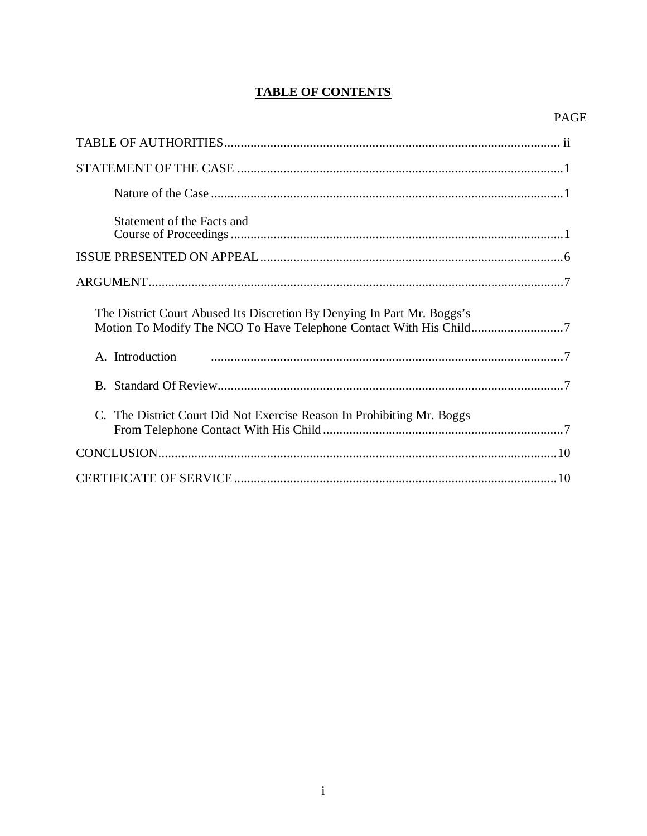# **TABLE OF CONTENTS**

# **PAGE**

| Statement of the Facts and                                              |
|-------------------------------------------------------------------------|
|                                                                         |
|                                                                         |
| The District Court Abused Its Discretion By Denying In Part Mr. Boggs's |
| A. Introduction                                                         |
|                                                                         |
| C. The District Court Did Not Exercise Reason In Prohibiting Mr. Boggs  |
|                                                                         |
|                                                                         |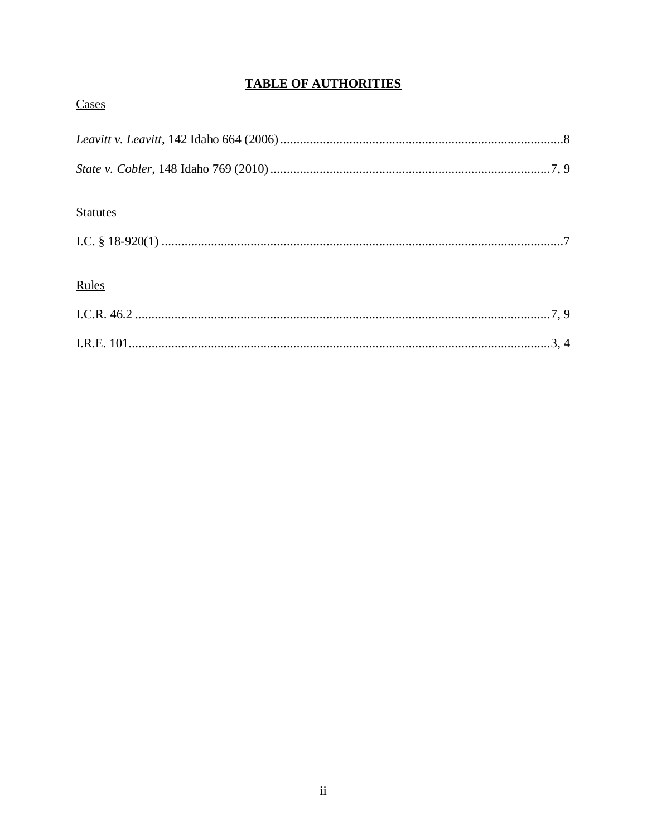# **TABLE OF AUTHORITIES**

| Cases           |
|-----------------|
|                 |
|                 |
|                 |
| <b>Statutes</b> |
|                 |
|                 |
| Rules           |
|                 |
|                 |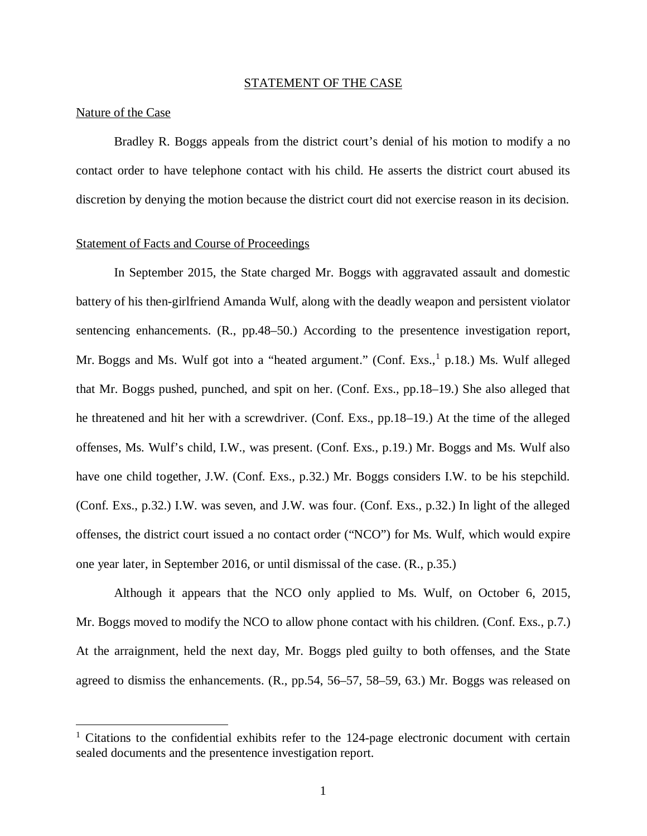#### STATEMENT OF THE CASE

#### Nature of the Case

Bradley R. Boggs appeals from the district court's denial of his motion to modify a no contact order to have telephone contact with his child. He asserts the district court abused its discretion by denying the motion because the district court did not exercise reason in its decision.

### Statement of Facts and Course of Proceedings

In September 2015, the State charged Mr. Boggs with aggravated assault and domestic battery of his then-girlfriend Amanda Wulf, along with the deadly weapon and persistent violator sentencing enhancements. (R., pp.48–50.) According to the presentence investigation report, Mr. Boggs and Ms. Wulf got into a "heated argument." (Conf. Exs., <sup>[1](#page-4-0)</sup> p.18.) Ms. Wulf alleged that Mr. Boggs pushed, punched, and spit on her. (Conf. Exs., pp.18–19.) She also alleged that he threatened and hit her with a screwdriver. (Conf. Exs., pp.18–19.) At the time of the alleged offenses, Ms. Wulf's child, I.W., was present. (Conf. Exs., p.19.) Mr. Boggs and Ms. Wulf also have one child together, J.W. (Conf. Exs., p.32.) Mr. Boggs considers I.W. to be his stepchild. (Conf. Exs., p.32.) I.W. was seven, and J.W. was four. (Conf. Exs., p.32.) In light of the alleged offenses, the district court issued a no contact order ("NCO") for Ms. Wulf, which would expire one year later, in September 2016, or until dismissal of the case. (R., p.35.)

Although it appears that the NCO only applied to Ms. Wulf, on October 6, 2015, Mr. Boggs moved to modify the NCO to allow phone contact with his children. (Conf. Exs., p.7.) At the arraignment, held the next day, Mr. Boggs pled guilty to both offenses, and the State agreed to dismiss the enhancements. (R., pp.54, 56–57, 58–59, 63.) Mr. Boggs was released on

<span id="page-4-0"></span><sup>&</sup>lt;sup>1</sup> Citations to the confidential exhibits refer to the 124-page electronic document with certain sealed documents and the presentence investigation report.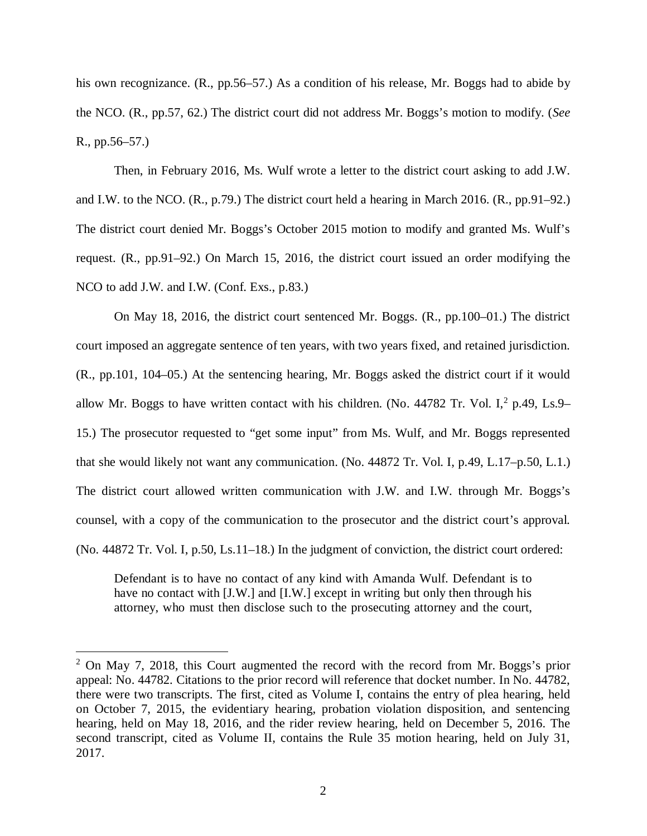his own recognizance. (R., pp.56–57.) As a condition of his release, Mr. Boggs had to abide by the NCO. (R., pp.57, 62.) The district court did not address Mr. Boggs's motion to modify. (*See* R., pp.56–57.)

Then, in February 2016, Ms. Wulf wrote a letter to the district court asking to add J.W. and I.W. to the NCO. (R., p.79.) The district court held a hearing in March 2016. (R., pp.91–92.) The district court denied Mr. Boggs's October 2015 motion to modify and granted Ms. Wulf's request. (R., pp.91–92.) On March 15, 2016, the district court issued an order modifying the NCO to add J.W. and I.W. (Conf. Exs., p.83.)

On May 18, 2016, the district court sentenced Mr. Boggs. (R., pp.100–01.) The district court imposed an aggregate sentence of ten years, with two years fixed, and retained jurisdiction. (R., pp.101, 104–05.) At the sentencing hearing, Mr. Boggs asked the district court if it would allow Mr. Boggs to have written contact with his children. (No. 4478[2](#page-5-0) Tr. Vol. I, $^2$  p.49, Ls.9– 15.) The prosecutor requested to "get some input" from Ms. Wulf, and Mr. Boggs represented that she would likely not want any communication. (No. 44872 Tr. Vol. I, p.49, L.17–p.50, L.1.) The district court allowed written communication with J.W. and I.W. through Mr. Boggs's counsel, with a copy of the communication to the prosecutor and the district court's approval. (No. 44872 Tr. Vol. I, p.50, Ls.11–18.) In the judgment of conviction, the district court ordered:

Defendant is to have no contact of any kind with Amanda Wulf. Defendant is to have no contact with [J.W.] and [I.W.] except in writing but only then through his attorney, who must then disclose such to the prosecuting attorney and the court,

<span id="page-5-0"></span><sup>&</sup>lt;sup>2</sup> On May 7, 2018, this Court augmented the record with the record from Mr. Boggs's prior appeal: No. 44782. Citations to the prior record will reference that docket number. In No. 44782, there were two transcripts. The first, cited as Volume I, contains the entry of plea hearing, held on October 7, 2015, the evidentiary hearing, probation violation disposition, and sentencing hearing, held on May 18, 2016, and the rider review hearing, held on December 5, 2016. The second transcript, cited as Volume II, contains the Rule 35 motion hearing, held on July 31, 2017.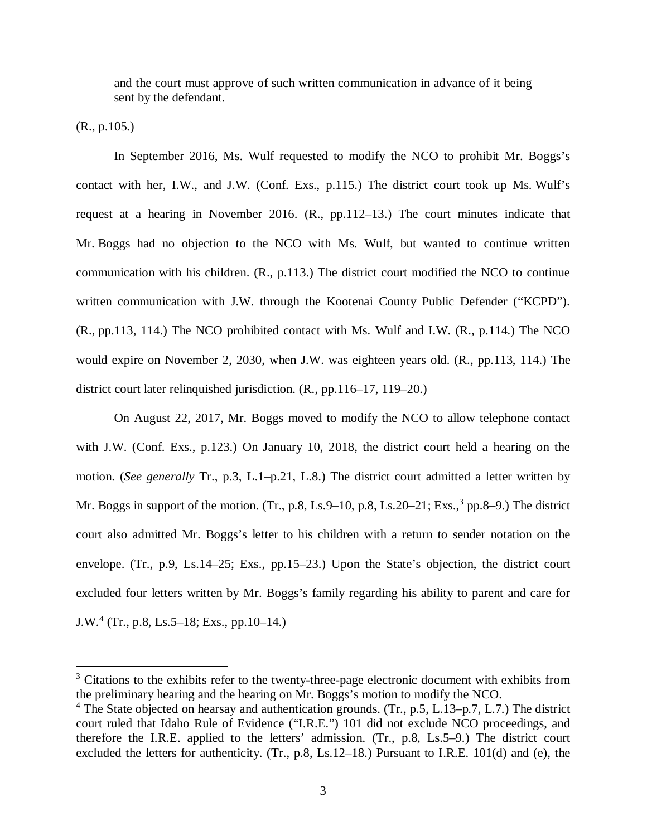and the court must approve of such written communication in advance of it being sent by the defendant.

(R., p.105.)

In September 2016, Ms. Wulf requested to modify the NCO to prohibit Mr. Boggs's contact with her, I.W., and J.W. (Conf. Exs., p.115.) The district court took up Ms. Wulf's request at a hearing in November 2016. (R., pp.112–13.) The court minutes indicate that Mr. Boggs had no objection to the NCO with Ms. Wulf, but wanted to continue written communication with his children. (R., p.113.) The district court modified the NCO to continue written communication with J.W. through the Kootenai County Public Defender ("KCPD"). (R., pp.113, 114.) The NCO prohibited contact with Ms. Wulf and I.W. (R., p.114.) The NCO would expire on November 2, 2030, when J.W. was eighteen years old. (R., pp.113, 114.) The district court later relinquished jurisdiction. (R., pp.116–17, 119–20.)

On August 22, 2017, Mr. Boggs moved to modify the NCO to allow telephone contact with J.W. (Conf. Exs., p.123.) On January 10, 2018, the district court held a hearing on the motion. (*See generally* Tr., p.3, L.1–p.21, L.8.) The district court admitted a letter written by Mr. Boggs in support of the motion. (Tr., p.8, Ls.9–10, p.8, Ls.20–21; Exs.,  $3$  pp.8–9.) The district court also admitted Mr. Boggs's letter to his children with a return to sender notation on the envelope. (Tr., p.9, Ls.14–25; Exs., pp.15–23.) Upon the State's objection, the district court excluded four letters written by Mr. Boggs's family regarding his ability to parent and care for J.W.[4](#page-6-1) (Tr., p.8, Ls.5–18; Exs., pp.10–14.)

<span id="page-6-0"></span><sup>&</sup>lt;sup>3</sup> Citations to the exhibits refer to the twenty-three-page electronic document with exhibits from the preliminary hearing and the hearing on Mr. Boggs's motion to modify the NCO.

<span id="page-6-1"></span><sup>&</sup>lt;sup>4</sup> The State objected on hearsay and authentication grounds. (Tr., p.5, L.13–p.7, L.7.) The district court ruled that Idaho Rule of Evidence ("I.R.E.") 101 did not exclude NCO proceedings, and therefore the I.R.E. applied to the letters' admission. (Tr., p.8, Ls.5–9.) The district court excluded the letters for authenticity. (Tr., p.8, Ls.12–18.) Pursuant to I.R.E. 101(d) and (e), the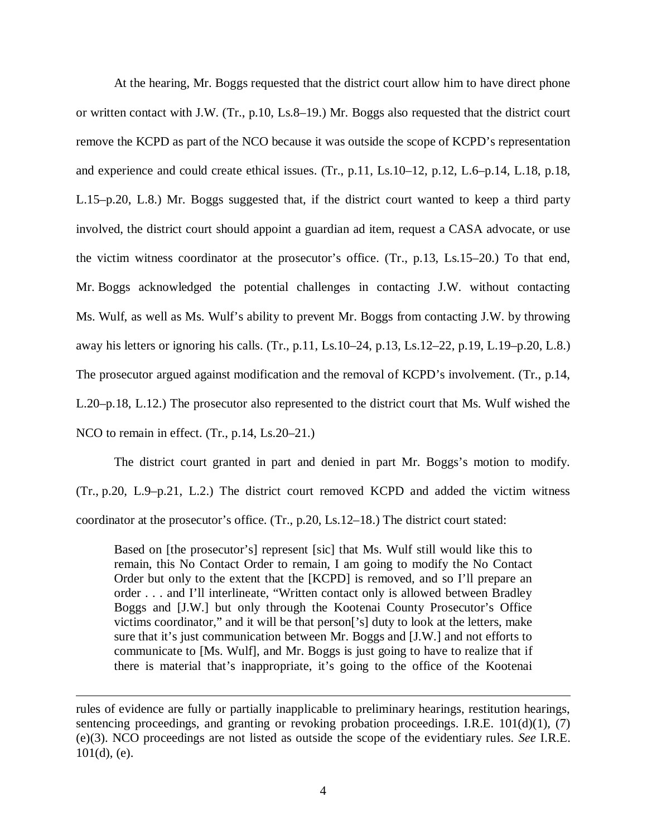At the hearing, Mr. Boggs requested that the district court allow him to have direct phone or written contact with J.W. (Tr., p.10, Ls.8–19.) Mr. Boggs also requested that the district court remove the KCPD as part of the NCO because it was outside the scope of KCPD's representation and experience and could create ethical issues. (Tr., p.11, Ls.10–12, p.12, L.6–p.14, L.18, p.18, L.15–p.20, L.8.) Mr. Boggs suggested that, if the district court wanted to keep a third party involved, the district court should appoint a guardian ad item, request a CASA advocate, or use the victim witness coordinator at the prosecutor's office. (Tr., p.13, Ls.15–20.) To that end, Mr. Boggs acknowledged the potential challenges in contacting J.W. without contacting Ms. Wulf, as well as Ms. Wulf's ability to prevent Mr. Boggs from contacting J.W. by throwing away his letters or ignoring his calls. (Tr., p.11, Ls.10–24, p.13, Ls.12–22, p.19, L.19–p.20, L.8.) The prosecutor argued against modification and the removal of KCPD's involvement. (Tr., p.14, L.20–p.18, L.12.) The prosecutor also represented to the district court that Ms. Wulf wished the NCO to remain in effect. (Tr., p.14, Ls.20–21.)

The district court granted in part and denied in part Mr. Boggs's motion to modify. (Tr., p.20, L.9–p.21, L.2.) The district court removed KCPD and added the victim witness coordinator at the prosecutor's office. (Tr., p.20, Ls.12–18.) The district court stated:

Based on [the prosecutor's] represent [sic] that Ms. Wulf still would like this to remain, this No Contact Order to remain, I am going to modify the No Contact Order but only to the extent that the [KCPD] is removed, and so I'll prepare an order . . . and I'll interlineate, "Written contact only is allowed between Bradley Boggs and [J.W.] but only through the Kootenai County Prosecutor's Office victims coordinator," and it will be that person['s] duty to look at the letters, make sure that it's just communication between Mr. Boggs and [J.W.] and not efforts to communicate to [Ms. Wulf], and Mr. Boggs is just going to have to realize that if there is material that's inappropriate, it's going to the office of the Kootenai

rules of evidence are fully or partially inapplicable to preliminary hearings, restitution hearings, sentencing proceedings, and granting or revoking probation proceedings. I.R.E. 101(d)(1), (7) (e)(3). NCO proceedings are not listed as outside the scope of the evidentiary rules. *See* I.R.E.  $101(d)$ , (e).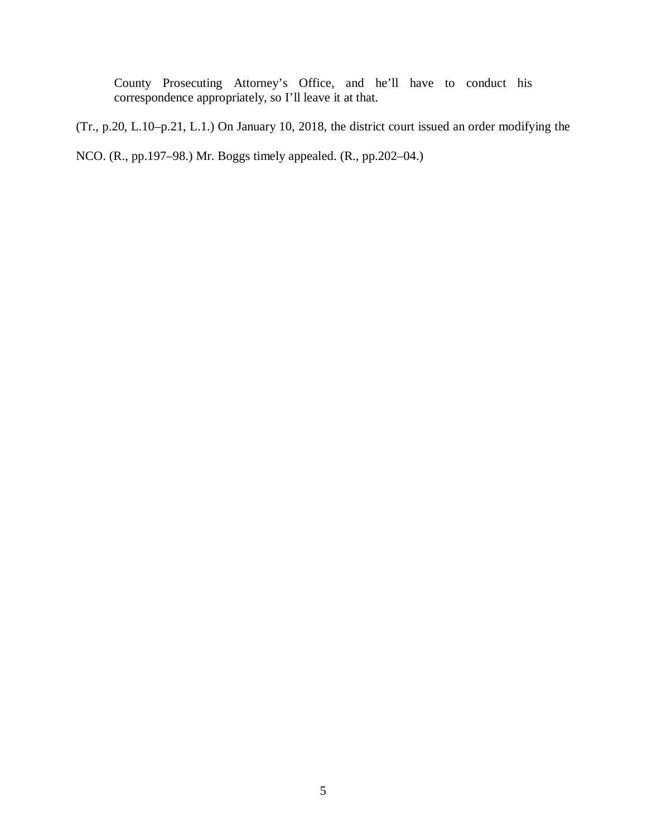County Prosecuting Attorney's Office, and he'll have to conduct his correspondence appropriately, so I'll leave it at that.

(Tr., p.20, L.10–p.21, L.1.) On January 10, 2018, the district court issued an order modifying the

NCO. (R., pp.197–98.) Mr. Boggs timely appealed. (R., pp.202–04.)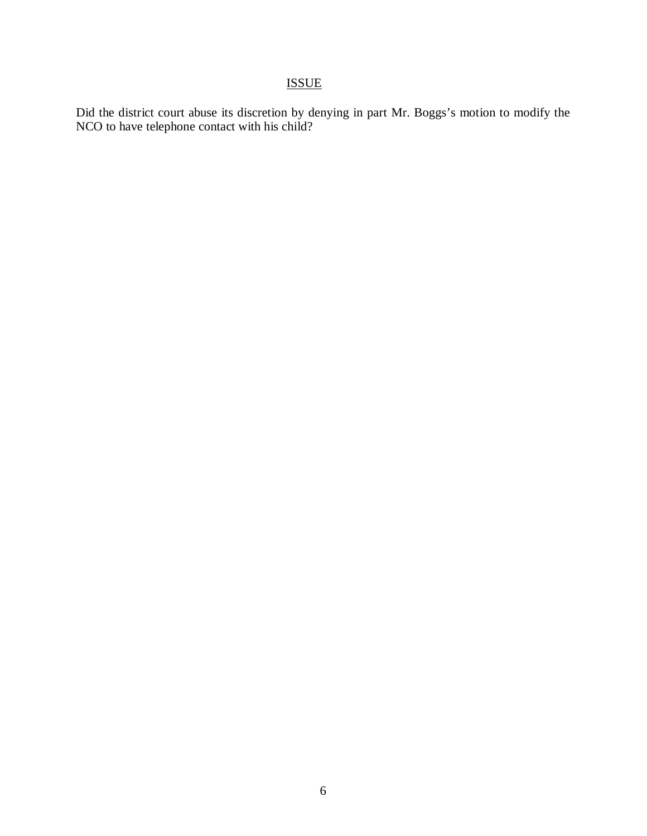# ISSUE

Did the district court abuse its discretion by denying in part Mr. Boggs's motion to modify the NCO to have telephone contact with his child?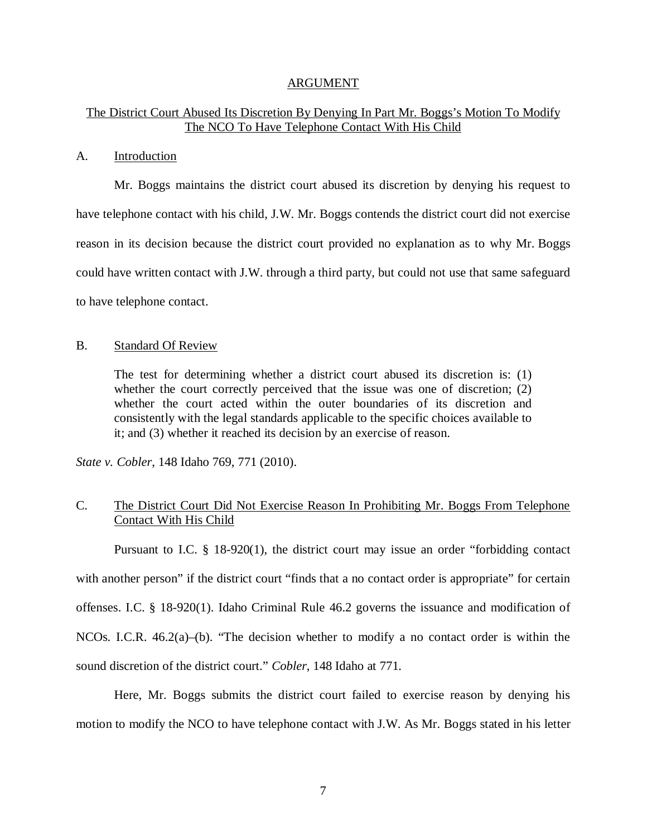#### ARGUMENT

## The District Court Abused Its Discretion By Denying In Part Mr. Boggs's Motion To Modify The NCO To Have Telephone Contact With His Child

#### A. Introduction

Mr. Boggs maintains the district court abused its discretion by denying his request to have telephone contact with his child, J.W. Mr. Boggs contends the district court did not exercise reason in its decision because the district court provided no explanation as to why Mr. Boggs could have written contact with J.W. through a third party, but could not use that same safeguard to have telephone contact.

#### B. Standard Of Review

The test for determining whether a district court abused its discretion is: (1) whether the court correctly perceived that the issue was one of discretion; (2) whether the court acted within the outer boundaries of its discretion and consistently with the legal standards applicable to the specific choices available to it; and (3) whether it reached its decision by an exercise of reason.

*State v. Cobler*, 148 Idaho 769, 771 (2010).

## C. The District Court Did Not Exercise Reason In Prohibiting Mr. Boggs From Telephone Contact With His Child

Pursuant to I.C. § 18-920(1), the district court may issue an order "forbidding contact with another person" if the district court "finds that a no contact order is appropriate" for certain offenses. I.C. § 18-920(1). Idaho Criminal Rule 46.2 governs the issuance and modification of NCOs. I.C.R. 46.2(a)–(b). "The decision whether to modify a no contact order is within the sound discretion of the district court." *Cobler*, 148 Idaho at 771.

Here, Mr. Boggs submits the district court failed to exercise reason by denying his motion to modify the NCO to have telephone contact with J.W. As Mr. Boggs stated in his letter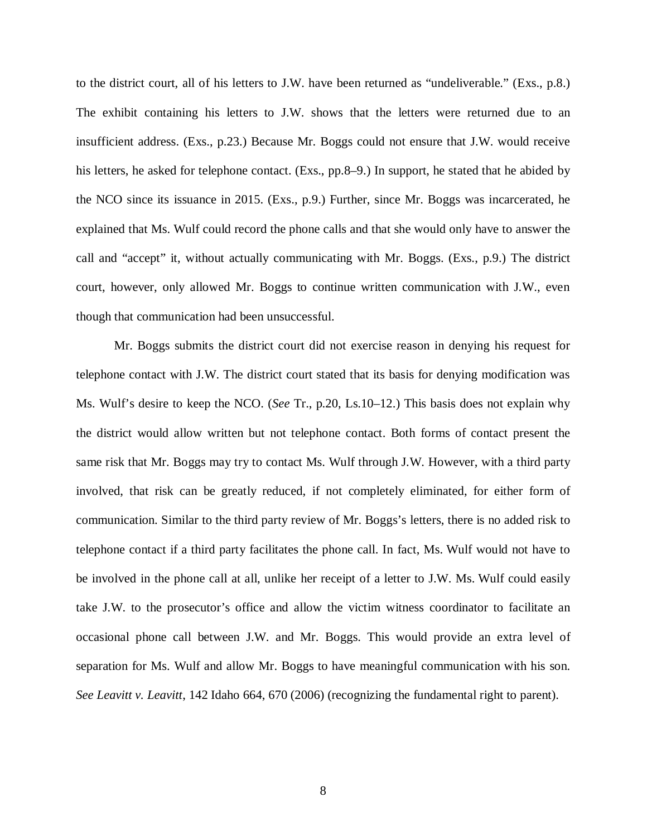to the district court, all of his letters to J.W. have been returned as "undeliverable." (Exs., p.8.) The exhibit containing his letters to J.W. shows that the letters were returned due to an insufficient address. (Exs., p.23.) Because Mr. Boggs could not ensure that J.W. would receive his letters, he asked for telephone contact. (Exs., pp.8–9.) In support, he stated that he abided by the NCO since its issuance in 2015. (Exs., p.9.) Further, since Mr. Boggs was incarcerated, he explained that Ms. Wulf could record the phone calls and that she would only have to answer the call and "accept" it, without actually communicating with Mr. Boggs. (Exs., p.9.) The district court, however, only allowed Mr. Boggs to continue written communication with J.W., even though that communication had been unsuccessful.

Mr. Boggs submits the district court did not exercise reason in denying his request for telephone contact with J.W. The district court stated that its basis for denying modification was Ms. Wulf's desire to keep the NCO. (*See* Tr., p.20, Ls.10–12.) This basis does not explain why the district would allow written but not telephone contact. Both forms of contact present the same risk that Mr. Boggs may try to contact Ms. Wulf through J.W. However, with a third party involved, that risk can be greatly reduced, if not completely eliminated, for either form of communication. Similar to the third party review of Mr. Boggs's letters, there is no added risk to telephone contact if a third party facilitates the phone call. In fact, Ms. Wulf would not have to be involved in the phone call at all, unlike her receipt of a letter to J.W. Ms. Wulf could easily take J.W. to the prosecutor's office and allow the victim witness coordinator to facilitate an occasional phone call between J.W. and Mr. Boggs. This would provide an extra level of separation for Ms. Wulf and allow Mr. Boggs to have meaningful communication with his son. *See Leavitt v. Leavitt*, 142 Idaho 664, 670 (2006) (recognizing the fundamental right to parent).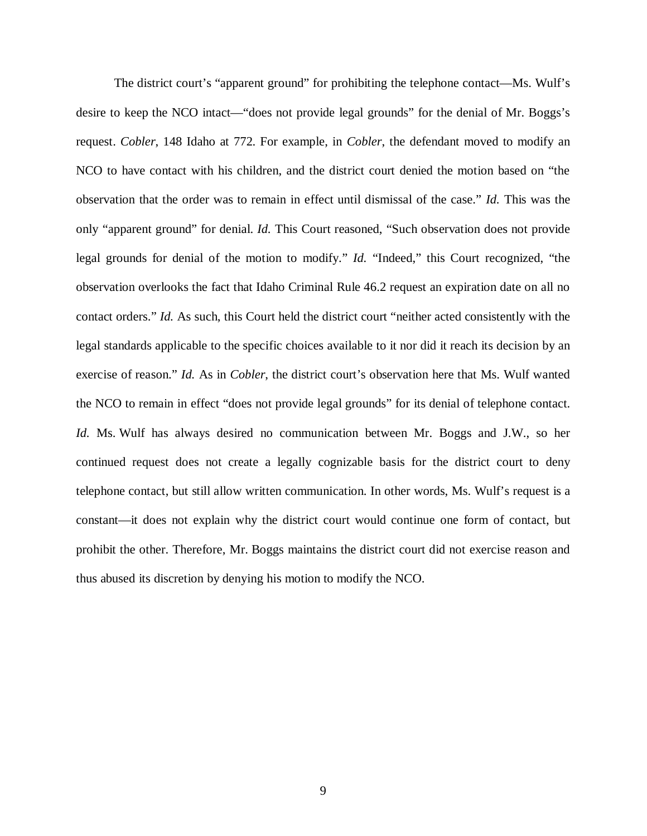The district court's "apparent ground" for prohibiting the telephone contact—Ms. Wulf's desire to keep the NCO intact—"does not provide legal grounds" for the denial of Mr. Boggs's request. *Cobler*, 148 Idaho at 772. For example, in *Cobler*, the defendant moved to modify an NCO to have contact with his children, and the district court denied the motion based on "the observation that the order was to remain in effect until dismissal of the case." *Id.* This was the only "apparent ground" for denial. *Id.* This Court reasoned, "Such observation does not provide legal grounds for denial of the motion to modify." *Id.* "Indeed," this Court recognized, "the observation overlooks the fact that Idaho Criminal Rule 46.2 request an expiration date on all no contact orders." *Id.* As such, this Court held the district court "neither acted consistently with the legal standards applicable to the specific choices available to it nor did it reach its decision by an exercise of reason." *Id.* As in *Cobler*, the district court's observation here that Ms. Wulf wanted the NCO to remain in effect "does not provide legal grounds" for its denial of telephone contact. *Id.* Ms. Wulf has always desired no communication between Mr. Boggs and J.W., so her continued request does not create a legally cognizable basis for the district court to deny telephone contact, but still allow written communication. In other words, Ms. Wulf's request is a constant—it does not explain why the district court would continue one form of contact, but prohibit the other. Therefore, Mr. Boggs maintains the district court did not exercise reason and thus abused its discretion by denying his motion to modify the NCO.